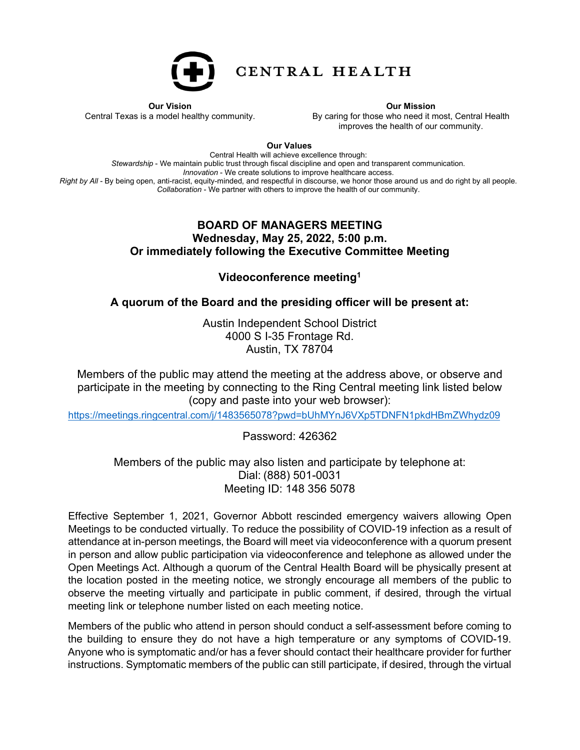

CENTRAL HEALTH

**Our Vision** Central Texas is a model healthy community. **Our Mission**

By caring for those who need it most, Central Health improves the health of our community.

**Our Values**

Central Health will achieve excellence through: *Stewardship* - We maintain public trust through fiscal discipline and open and transparent communication. *Innovation* - We create solutions to improve healthcare access. *Right by All* - By being open, anti-racist, equity-minded, and respectful in discourse, we honor those around us and do right by all people. *Collaboration* - We partner with others to improve the health of our community.

## **BOARD OF MANAGERS MEETING Wednesday, May 25, 2022, 5:00 p.m. Or immediately following the Executive Committee Meeting**

**Videoconference meeting1**

**A quorum of the Board and the presiding officer will be present at:**

Austin Independent School District 4000 S I-35 Frontage Rd. Austin, TX 78704

Members of the public may attend the meeting at the address above, or observe and participate in the meeting by connecting to the Ring Central meeting link listed below (copy and paste into your web browser):

[https://meetings.ringcentral.com/j/1483565078?pwd=bUhMYnJ6VXp5TDNFN1pkdHBmZWhydz09](https://nam02.safelinks.protection.outlook.com/?url=https%3A%2F%2Fmeetings.ringcentral.com%2Fj%2F1483565078%3Fpwd%3DbUhMYnJ6VXp5TDNFN1pkdHBmZWhydz09&data=05%7C01%7CBriana.Yanes%40centralhealth.net%7Cf90da444da13482c6bb208da3813080d%7C4e4efb276b1d46dc8eead759a70a93ad%7C0%7C0%7C637883951671063304%7CUnknown%7CTWFpbGZsb3d8eyJWIjoiMC4wLjAwMDAiLCJQIjoiV2luMzIiLCJBTiI6Ik1haWwiLCJXVCI6Mn0%3D%7C3000%7C%7C%7C&sdata=4Bf1yOPnLh0QqmyxXYdkop7R6n8JeCbwVYLCV9%2FeKio%3D&reserved=0)

Password: 426362

Members of the public may also listen and participate by telephone at: Dial: (888) 501-0031 Meeting ID: 148 356 5078

Effective September 1, 2021, Governor Abbott rescinded emergency waivers allowing Open Meetings to be conducted virtually. To reduce the possibility of COVID-19 infection as a result of attendance at in-person meetings, the Board will meet via videoconference with a quorum present in person and allow public participation via videoconference and telephone as allowed under the Open Meetings Act. Although a quorum of the Central Health Board will be physically present at the location posted in the meeting notice, we strongly encourage all members of the public to observe the meeting virtually and participate in public comment, if desired, through the virtual meeting link or telephone number listed on each meeting notice.

Members of the public who attend in person should conduct a self-assessment before coming to the building to ensure they do not have a high temperature or any symptoms of COVID-19. Anyone who is symptomatic and/or has a fever should contact their healthcare provider for further instructions. Symptomatic members of the public can still participate, if desired, through the virtual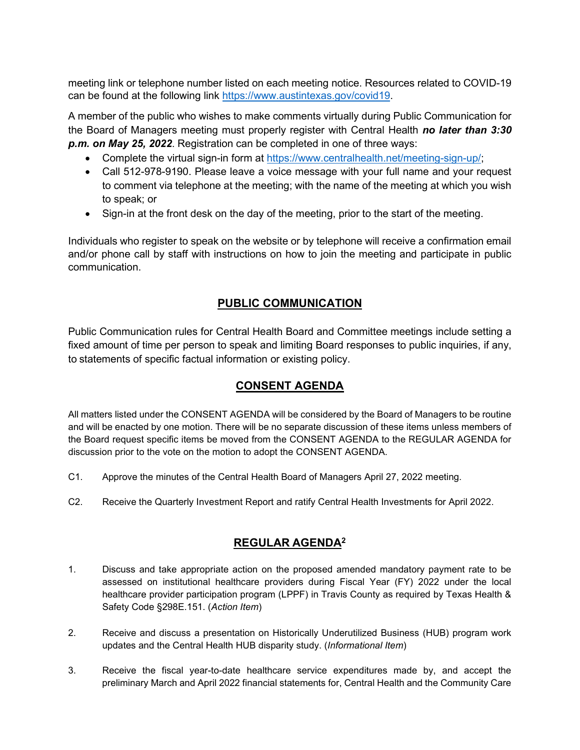meeting link or telephone number listed on each meeting notice. Resources related to COVID-19 can be found at the following link [https://www.austintexas.gov/covid19.](https://nam02.safelinks.protection.outlook.com/?url=https%3A%2F%2Fprotect-us.mimecast.com%2Fs%2FsjZwCo2kNKcjR78cz9wMC%3Fdomain%3Dgcc02.safelinks.protection.outlook.com&data=04%7C01%7Cperla.cavazos%40centralhealth.net%7C948eb347d05c4ba56d5008d96d68dc50%7C4e4efb276b1d46dc8eead759a70a93ad%7C0%7C0%7C637661119452914913%7CUnknown%7CTWFpbGZsb3d8eyJWIjoiMC4wLjAwMDAiLCJQIjoiV2luMzIiLCJBTiI6Ik1haWwiLCJXVCI6Mn0%3D%7C1000&sdata=C0%2BcJL94flmBaDM8NLJ26eFA8fYVZsi9kT3VBnRz2bA%3D&reserved=0)

A member of the public who wishes to make comments virtually during Public Communication for the Board of Managers meeting must properly register with Central Health *no later than 3:30 p.m. on May 25, 2022*. Registration can be completed in one of three ways:

- Complete the virtual sign-in form at [https://www.centralhealth.net/meeting-sign-up/;](https://www.centralhealth.net/meeting-sign-up/)
- Call 512-978-9190. Please leave a voice message with your full name and your request to comment via telephone at the meeting; with the name of the meeting at which you wish to speak; or
- Sign-in at the front desk on the day of the meeting, prior to the start of the meeting.

Individuals who register to speak on the website or by telephone will receive a confirmation email and/or phone call by staff with instructions on how to join the meeting and participate in public communication.

## **PUBLIC COMMUNICATION**

Public Communication rules for Central Health Board and Committee meetings include setting a fixed amount of time per person to speak and limiting Board responses to public inquiries, if any, to statements of specific factual information or existing policy.

## **CONSENT AGENDA**

All matters listed under the CONSENT AGENDA will be considered by the Board of Managers to be routine and will be enacted by one motion. There will be no separate discussion of these items unless members of the Board request specific items be moved from the CONSENT AGENDA to the REGULAR AGENDA for discussion prior to the vote on the motion to adopt the CONSENT AGENDA.

- C1. Approve the minutes of the Central Health Board of Managers April 27, 2022 meeting.
- C2. Receive the Quarterly Investment Report and ratify Central Health Investments for April 2022.

## **REGULAR AGENDA2**

- 1. Discuss and take appropriate action on the proposed amended mandatory payment rate to be assessed on institutional healthcare providers during Fiscal Year (FY) 2022 under the local healthcare provider participation program (LPPF) in Travis County as required by Texas Health & Safety Code §298E.151. (*Action Item*)
- 2. Receive and discuss a presentation on Historically Underutilized Business (HUB) program work updates and the Central Health HUB disparity study. (*Informational Item*)
- 3. Receive the fiscal year-to-date healthcare service expenditures made by, and accept the preliminary March and April 2022 financial statements for, Central Health and the Community Care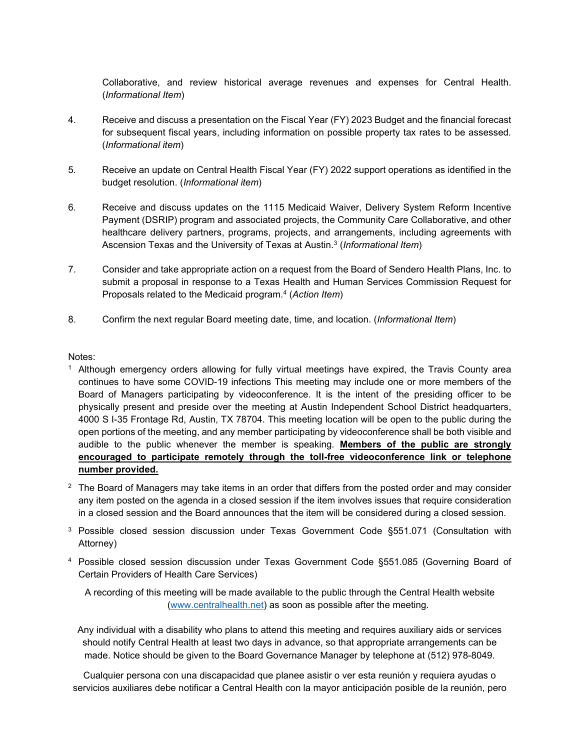Collaborative, and review historical average revenues and expenses for Central Health. (*Informational Item*)

- 4. Receive and discuss a presentation on the Fiscal Year (FY) 2023 Budget and the financial forecast for subsequent fiscal years, including information on possible property tax rates to be assessed*.* (*Informational item*)
- 5. Receive an update on Central Health Fiscal Year (FY) 2022 support operations as identified in the budget resolution. (*Informational item*)
- 6. Receive and discuss updates on the 1115 Medicaid Waiver, Delivery System Reform Incentive Payment (DSRIP) program and associated projects, the Community Care Collaborative, and other healthcare delivery partners, programs, projects, and arrangements, including agreements with Ascension Texas and the University of Texas at Austin.3 (*Informational Item*)
- 7. Consider and take appropriate action on a request from the Board of Sendero Health Plans, Inc. to submit a proposal in response to a Texas Health and Human Services Commission Request for Proposals related to the Medicaid program.4 (*Action Item*)
- 8. Confirm the next regular Board meeting date, time, and location. (*Informational Item*)

Notes:

- <sup>1</sup> Although emergency orders allowing for fully virtual meetings have expired, the Travis County area continues to have some COVID-19 infections This meeting may include one or more members of the Board of Managers participating by videoconference. It is the intent of the presiding officer to be physically present and preside over the meeting at Austin Independent School District headquarters, 4000 S I-35 Frontage Rd, Austin, TX 78704. This meeting location will be open to the public during the open portions of the meeting, and any member participating by videoconference shall be both visible and audible to the public whenever the member is speaking. **Members of the public are strongly encouraged to participate remotely through the toll-free videoconference link or telephone number provided.**
- $2$  The Board of Managers may take items in an order that differs from the posted order and may consider any item posted on the agenda in a closed session if the item involves issues that require consideration in a closed session and the Board announces that the item will be considered during a closed session.
- <sup>3</sup> Possible closed session discussion under Texas Government Code §551.071 (Consultation with Attorney)
- <sup>4</sup> Possible closed session discussion under Texas Government Code §551.085 (Governing Board of Certain Providers of Health Care Services)

A recording of this meeting will be made available to the public through the Central Health website [\(www.centralhealth.net\)](http://www.centralhealth.net/) as soon as possible after the meeting.

Any individual with a disability who plans to attend this meeting and requires auxiliary aids or services should notify Central Health at least two days in advance, so that appropriate arrangements can be made. Notice should be given to the Board Governance Manager by telephone at (512) 978-8049.

Cualquier persona con una discapacidad que planee asistir o ver esta reunión y requiera ayudas o servicios auxiliares debe notificar a Central Health con la mayor anticipación posible de la reunión, pero